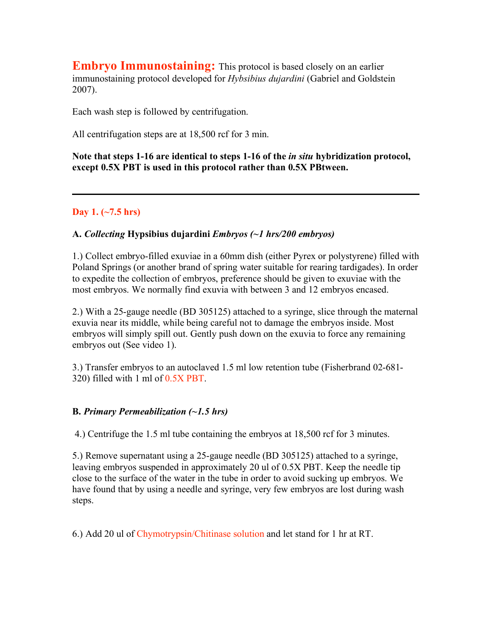**Embryo Immunostaining:** This protocol is based closely on an earlier immunostaining protocol developed for *Hybsibius dujardini* (Gabriel and Goldstein 2007).

Each wash step is followed by centrifugation.

All centrifugation steps are at 18,500 rcf for 3 min.

**Note that steps 1-16 are identical to steps 1-16 of the** *in situ* **hybridization protocol, except 0.5X PBT is used in this protocol rather than 0.5X PBtween.**

### **Day 1. (~7.5 hrs)**

#### **A.** *Collecting* **Hypsibius dujardini** *Embryos (~1 hrs/200 embryos)*

1.) Collect embryo-filled exuviae in a 60mm dish (either Pyrex or polystyrene) filled with Poland Springs (or another brand of spring water suitable for rearing tardigades). In order to expedite the collection of embryos, preference should be given to exuviae with the most embryos. We normally find exuvia with between 3 and 12 embryos encased.

2.) With a 25-gauge needle (BD 305125) attached to a syringe, slice through the maternal exuvia near its middle, while being careful not to damage the embryos inside. Most embryos will simply spill out. Gently push down on the exuvia to force any remaining embryos out (See video 1).

3.) Transfer embryos to an autoclaved 1.5 ml low retention tube (Fisherbrand 02-681- 320) filled with 1 ml of 0.5X PBT.

#### **B.** *Primary Permeabilization (~1.5 hrs)*

4.) Centrifuge the 1.5 ml tube containing the embryos at 18,500 rcf for 3 minutes.

5.) Remove supernatant using a 25-gauge needle (BD 305125) attached to a syringe, leaving embryos suspended in approximately 20 ul of 0.5X PBT. Keep the needle tip close to the surface of the water in the tube in order to avoid sucking up embryos. We have found that by using a needle and syringe, very few embryos are lost during wash steps.

6.) Add 20 ul of Chymotrypsin/Chitinase solution and let stand for 1 hr at RT.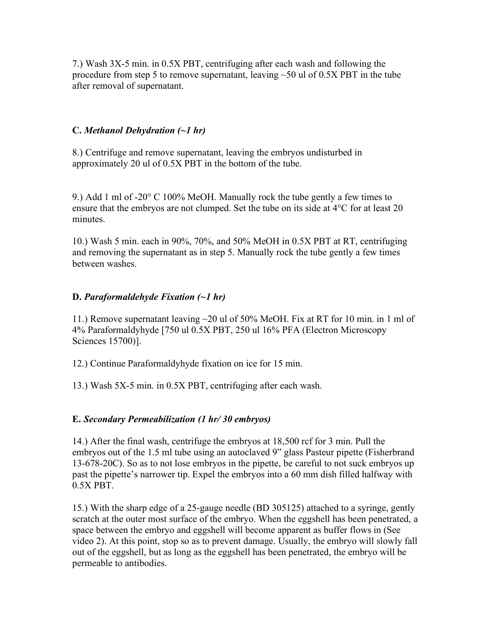7.) Wash 3X-5 min. in 0.5X PBT, centrifuging after each wash and following the procedure from step 5 to remove supernatant, leaving  $\sim$  50 ul of 0.5X PBT in the tube after removal of supernatant.

### **C.** *Methanol Dehydration (~1 hr)*

8.) Centrifuge and remove supernatant, leaving the embryos undisturbed in approximately 20 ul of 0.5X PBT in the bottom of the tube.

9.) Add 1 ml of -20° C 100% MeOH. Manually rock the tube gently a few times to ensure that the embryos are not clumped. Set the tube on its side at 4°C for at least 20 minutes.

10.) Wash 5 min. each in 90%, 70%, and 50% MeOH in 0.5X PBT at RT, centrifuging and removing the supernatant as in step 5. Manually rock the tube gently a few times between washes.

### **D.** *Paraformaldehyde Fixation (~1 hr)*

11.) Remove supernatant leaving ~20 ul of 50% MeOH. Fix at RT for 10 min. in 1 ml of 4% Paraformaldyhyde [750 ul 0.5X PBT, 250 ul 16% PFA (Electron Microscopy Sciences 15700)].

12.) Continue Paraformaldyhyde fixation on ice for 15 min.

13.) Wash 5X-5 min. in 0.5X PBT, centrifuging after each wash.

### **E.** *Secondary Permeabilization (1 hr/ 30 embryos)*

14.) After the final wash, centrifuge the embryos at 18,500 rcf for 3 min. Pull the embryos out of the 1.5 ml tube using an autoclaved 9" glass Pasteur pipette (Fisherbrand 13-678-20C). So as to not lose embryos in the pipette, be careful to not suck embryos up past the pipette's narrower tip. Expel the embryos into a 60 mm dish filled halfway with 0.5X PBT.

15.) With the sharp edge of a 25-gauge needle (BD 305125) attached to a syringe, gently scratch at the outer most surface of the embryo. When the eggshell has been penetrated, a space between the embryo and eggshell will become apparent as buffer flows in (See video 2). At this point, stop so as to prevent damage. Usually, the embryo will slowly fall out of the eggshell, but as long as the eggshell has been penetrated, the embryo will be permeable to antibodies.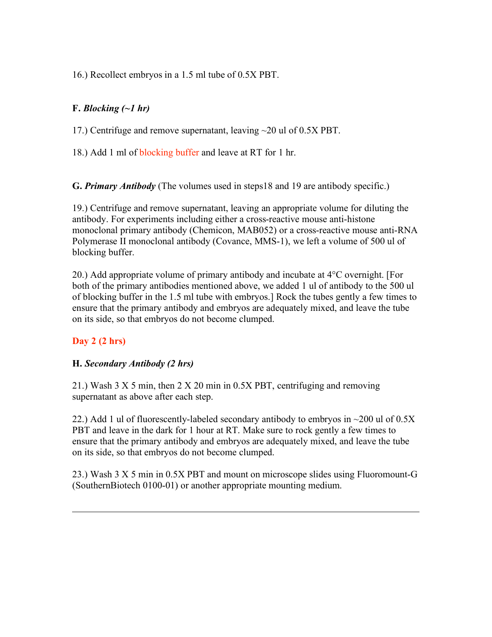16.) Recollect embryos in a 1.5 ml tube of 0.5X PBT.

### **F.** *Blocking (~1 hr)*

17.) Centrifuge and remove supernatant, leaving ~20 ul of 0.5X PBT.

18.) Add 1 ml of blocking buffer and leave at RT for 1 hr.

**G.** *Primary Antibody* (The volumes used in steps18 and 19 are antibody specific.)

19.) Centrifuge and remove supernatant, leaving an appropriate volume for diluting the antibody. For experiments including either a cross-reactive mouse anti-histone monoclonal primary antibody (Chemicon, MAB052) or a cross-reactive mouse anti-RNA Polymerase II monoclonal antibody (Covance, MMS-1), we left a volume of 500 ul of blocking buffer.

20.) Add appropriate volume of primary antibody and incubate at 4°C overnight. [For both of the primary antibodies mentioned above, we added 1 ul of antibody to the 500 ul of blocking buffer in the 1.5 ml tube with embryos.] Rock the tubes gently a few times to ensure that the primary antibody and embryos are adequately mixed, and leave the tube on its side, so that embryos do not become clumped.

## **Day 2 (2 hrs)**

### **H.** *Secondary Antibody (2 hrs)*

21.) Wash 3 X 5 min, then 2 X 20 min in 0.5X PBT, centrifuging and removing supernatant as above after each step.

22.) Add 1 ul of fluorescently-labeled secondary antibody to embryos in  $\sim$ 200 ul of 0.5X PBT and leave in the dark for 1 hour at RT. Make sure to rock gently a few times to ensure that the primary antibody and embryos are adequately mixed, and leave the tube on its side, so that embryos do not become clumped.

23.) Wash 3 X 5 min in 0.5X PBT and mount on microscope slides using Fluoromount-G (SouthernBiotech 0100-01) or another appropriate mounting medium.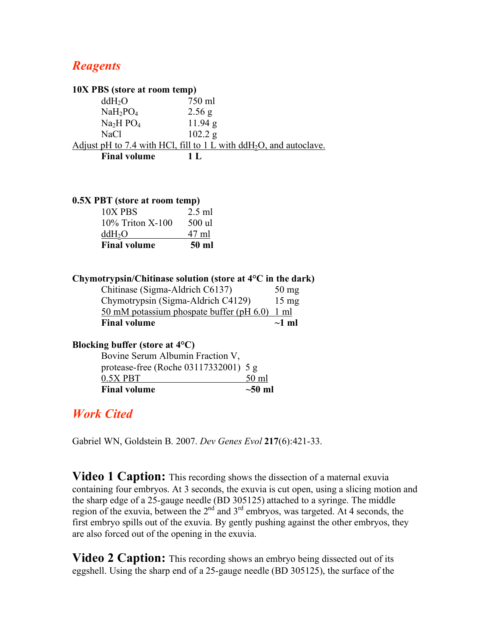## *Reagents*

| 10X PBS (store at room temp)                                                       |                                                                      |  |  |
|------------------------------------------------------------------------------------|----------------------------------------------------------------------|--|--|
| ddH <sub>2</sub> O                                                                 | 750 ml                                                               |  |  |
| $NaH_2PO_4$                                                                        | 2.56 g                                                               |  |  |
| Na <sub>2</sub> H PO <sub>4</sub>                                                  | 11.94 g                                                              |  |  |
| <b>NaCl</b>                                                                        | 102.2 g                                                              |  |  |
| Adjust pH to 7.4 with HCl, fill to $1 L$ with $ddH_2O$ , and autoclave.            |                                                                      |  |  |
| <b>Final volume</b>                                                                | 1 <sub>L</sub>                                                       |  |  |
| 0.5X PBT (store at room temp)<br>10X PBS<br>10% Triton X-100<br>ddH <sub>2</sub> O | $2.5$ ml<br>500 ul<br>47 ml                                          |  |  |
| <b>Final volume</b>                                                                | 50 ml                                                                |  |  |
|                                                                                    |                                                                      |  |  |
|                                                                                    | Chymotrypsin/Chitinase solution (store at $4^{\circ}$ C in the dark) |  |  |
| Chitinase (Sigma-Aldrich C6137)                                                    | $50 \text{ mg}$                                                      |  |  |

Chymotrypsin (Sigma-Aldrich C4129) 15 mg 50 mM potassium phospate buffer (pH 6.0) 1 ml **Final volume ~1 ml**

| 0.011111            | .            |
|---------------------|--------------|
| <b>Final volume</b> | $\sim$ 50 ml |
|                     |              |
|                     |              |

**Blocking buffer (store at 4°C)**

Bovine Serum Albumin Fraction V, protease-free (Roche 03117332001) 5 g  $0.5X$  PBT  $50$  ml

# *Work Cited*

Gabriel WN, Goldstein B. 2007. *Dev Genes Evol* **217**(6):421-33.

**Video 1 Caption:** This recording shows the dissection of a maternal exuvia containing four embryos. At 3 seconds, the exuvia is cut open, using a slicing motion and the sharp edge of a 25-gauge needle (BD 305125) attached to a syringe. The middle region of the exuvia, between the  $2<sup>nd</sup>$  and  $3<sup>rd</sup>$  embryos, was targeted. At 4 seconds, the first embryo spills out of the exuvia. By gently pushing against the other embryos, they are also forced out of the opening in the exuvia.

**Video 2 Caption:** This recording shows an embryo being dissected out of its eggshell. Using the sharp end of a 25-gauge needle (BD 305125), the surface of the